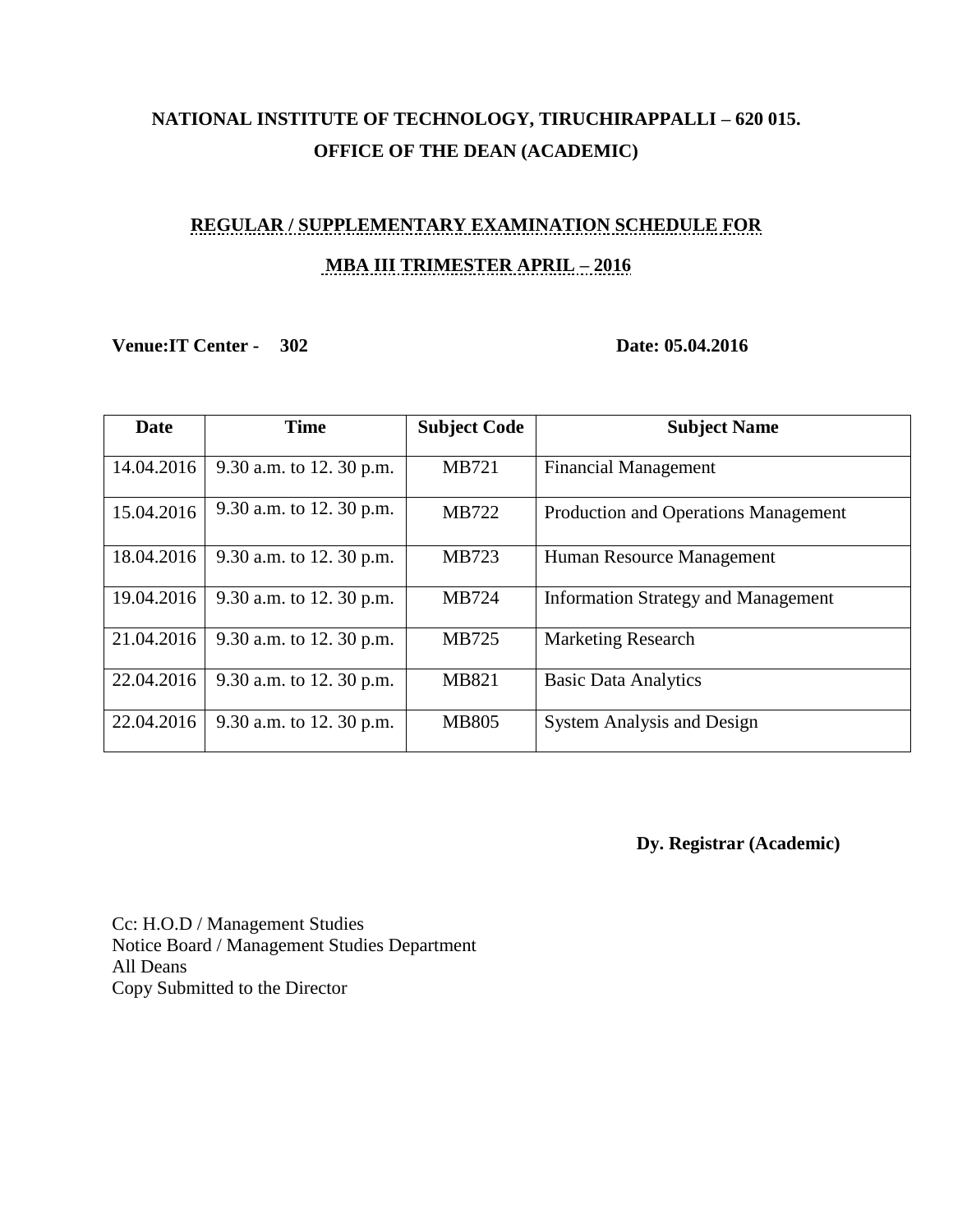## **NATIONAL INSTITUTE OF TECHNOLOGY, TIRUCHIRAPPALLI – 620 015. OFFICE OF THE DEAN (ACADEMIC)**

# **REGULAR / SUPPLEMENTARY EXAMINATION SCHEDULE FOR MBA III TRIMESTER APRIL – 2016**

### **Venue:IT Center - 302 Date: 05.04.2016**

| <b>Date</b> | <b>Time</b>              | <b>Subject Code</b> | <b>Subject Name</b>                        |
|-------------|--------------------------|---------------------|--------------------------------------------|
| 14.04.2016  | 9.30 a.m. to 12. 30 p.m. | <b>MB721</b>        | <b>Financial Management</b>                |
| 15.04.2016  | 9.30 a.m. to 12. 30 p.m. | MB722               | Production and Operations Management       |
| 18.04.2016  | 9.30 a.m. to 12. 30 p.m. | MB723               | Human Resource Management                  |
| 19.04.2016  | 9.30 a.m. to 12. 30 p.m. | MB724               | <b>Information Strategy and Management</b> |
| 21.04.2016  | 9.30 a.m. to 12. 30 p.m. | MB725               | <b>Marketing Research</b>                  |
| 22.04.2016  | 9.30 a.m. to 12. 30 p.m. | MB821               | <b>Basic Data Analytics</b>                |
| 22.04.2016  | 9.30 a.m. to 12. 30 p.m. | <b>MB805</b>        | <b>System Analysis and Design</b>          |

**Dy. Registrar (Academic)** 

Cc: H.O.D / Management Studies Notice Board / Management Studies Department All Deans Copy Submitted to the Director